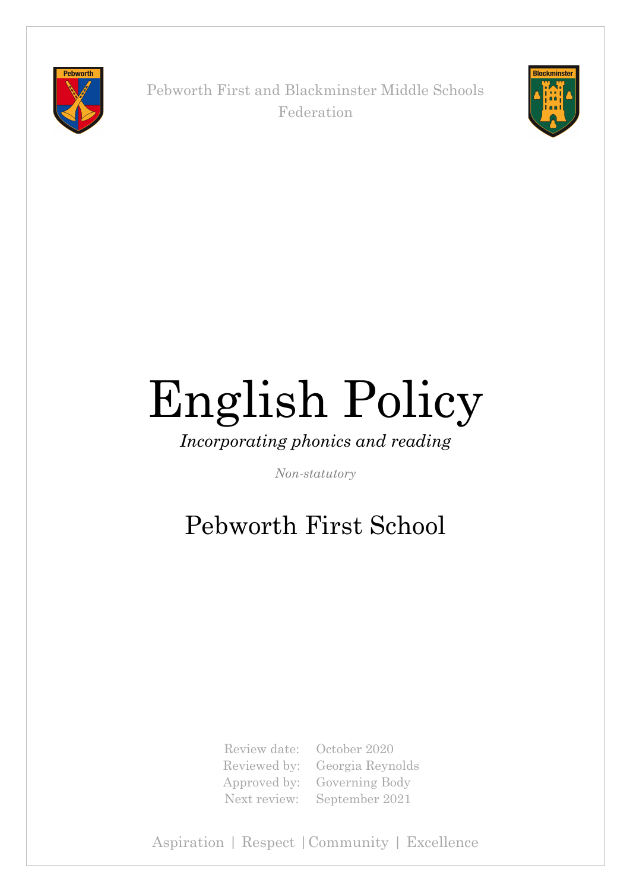

Pebworth First and Blackminster Middle Schools Federation



# English Policy

*Incorporating phonics and reading*

*Non-statutory*

# Pebworth First School

Review date: October 2020 Reviewed by: Georgia Reynolds Approved by: Governing Body Next review: September 2021

Aspiration | Respect |Community | Excellence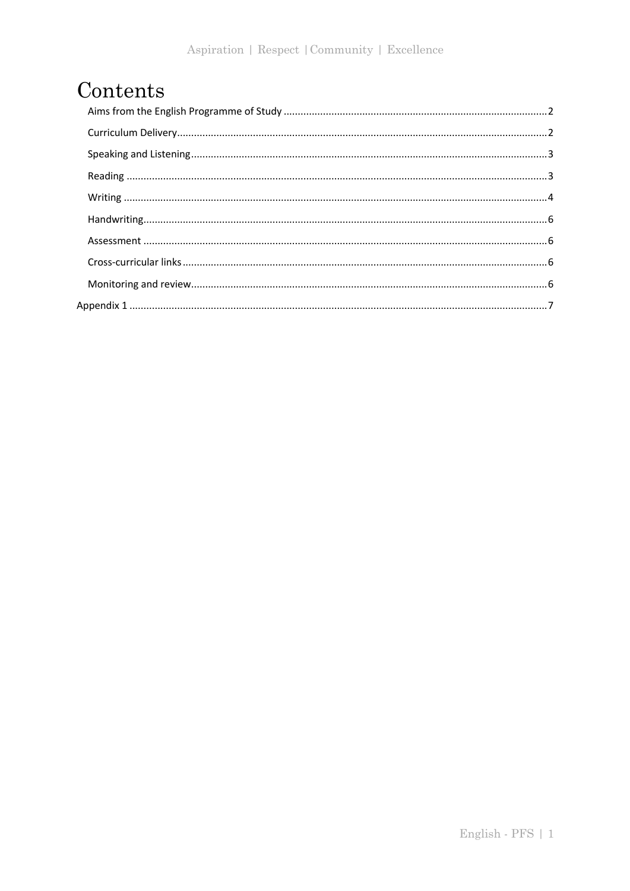# Contents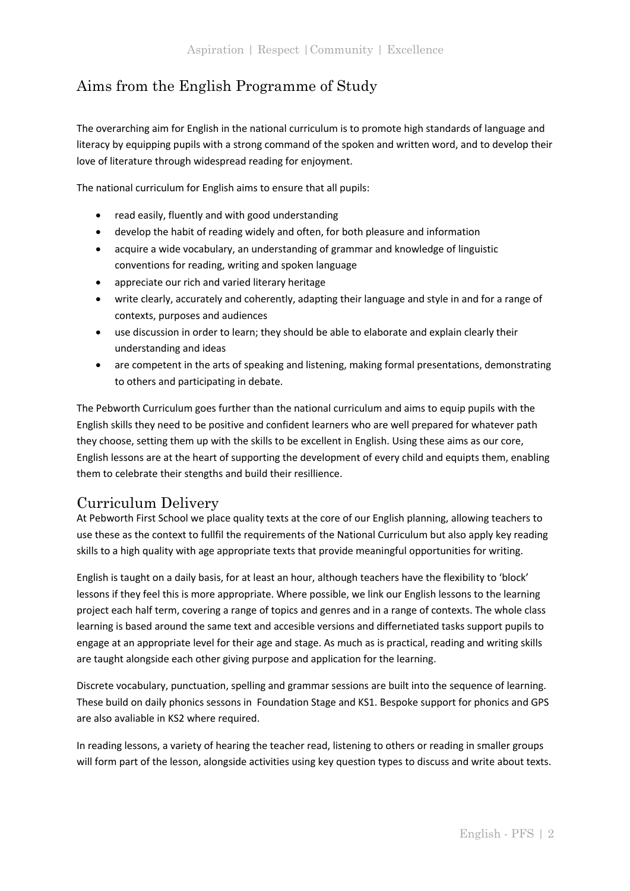# Aims from the English Programme of Study

The overarching aim for English in the national curriculum is to promote high standards of language and literacy by equipping pupils with a strong command of the spoken and written word, and to develop their love of literature through widespread reading for enjoyment.

The national curriculum for English aims to ensure that all pupils:

- read easily, fluently and with good understanding
- develop the habit of reading widely and often, for both pleasure and information
- acquire a wide vocabulary, an understanding of grammar and knowledge of linguistic conventions for reading, writing and spoken language
- appreciate our rich and varied literary heritage
- write clearly, accurately and coherently, adapting their language and style in and for a range of contexts, purposes and audiences
- use discussion in order to learn; they should be able to elaborate and explain clearly their understanding and ideas
- are competent in the arts of speaking and listening, making formal presentations, demonstrating to others and participating in debate.

The Pebworth Curriculum goes further than the national curriculum and aims to equip pupils with the English skills they need to be positive and confident learners who are well prepared for whatever path they choose, setting them up with the skills to be excellent in English. Using these aims as our core, English lessons are at the heart of supporting the development of every child and equipts them, enabling them to celebrate their stengths and build their resillience.

# Curriculum Delivery

At Pebworth First School we place quality texts at the core of our English planning, allowing teachers to use these as the context to fullfil the requirements of the National Curriculum but also apply key reading skills to a high quality with age appropriate texts that provide meaningful opportunities for writing.

English is taught on a daily basis, for at least an hour, although teachers have the flexibility to 'block' lessons if they feel this is more appropriate. Where possible, we link our English lessons to the learning project each half term, covering a range of topics and genres and in a range of contexts. The whole class learning is based around the same text and accesible versions and differnetiated tasks support pupils to engage at an appropriate level for their age and stage. As much as is practical, reading and writing skills are taught alongside each other giving purpose and application for the learning.

Discrete vocabulary, punctuation, spelling and grammar sessions are built into the sequence of learning. These build on daily phonics sessons in Foundation Stage and KS1. Bespoke support for phonics and GPS are also avaliable in KS2 where required.

In reading lessons, a variety of hearing the teacher read, listening to others or reading in smaller groups will form part of the lesson, alongside activities using key question types to discuss and write about texts.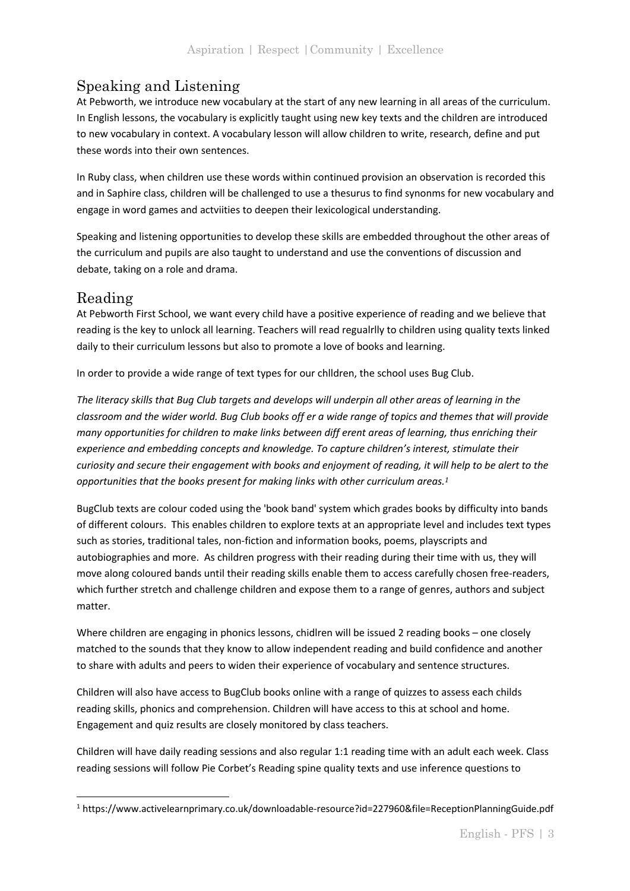# Speaking and Listening

At Pebworth, we introduce new vocabulary at the start of any new learning in all areas of the curriculum. In English lessons, the vocabulary is explicitly taught using new key texts and the children are introduced to new vocabulary in context. A vocabulary lesson will allow children to write, research, define and put these words into their own sentences.

In Ruby class, when children use these words within continued provision an observation is recorded this and in Saphire class, children will be challenged to use a thesurus to find synonms for new vocabulary and engage in word games and actviities to deepen their lexicological understanding.

Speaking and listening opportunities to develop these skills are embedded throughout the other areas of the curriculum and pupils are also taught to understand and use the conventions of discussion and debate, taking on a role and drama.

# Reading

At Pebworth First School, we want every child have a positive experience of reading and we believe that reading is the key to unlock all learning. Teachers will read regualrlly to children using quality texts linked daily to their curriculum lessons but also to promote a love of books and learning.

In order to provide a wide range of text types for our chlldren, the school uses Bug Club.

*The literacy skills that Bug Club targets and develops will underpin all other areas of learning in the classroom and the wider world. Bug Club books off er a wide range of topics and themes that will provide many opportunities for children to make links between diff erent areas of learning, thus enriching their experience and embedding concepts and knowledge. To capture children's interest, stimulate their curiosity and secure their engagement with books and enjoyment of reading, it will help to be alert to the opportunities that the books present for making links with other curriculum areas.<sup>1</sup>*

BugClub texts are colour coded using the 'book band' system which grades books by difficulty into bands of different colours. This enables children to explore texts at an appropriate level and includes text types such as stories, traditional tales, non-fiction and information books, poems, playscripts and autobiographies and more. As children progress with their reading during their time with us, they will move along coloured bands until their reading skills enable them to access carefully chosen free-readers, which further stretch and challenge children and expose them to a range of genres, authors and subject matter.

Where children are engaging in phonics lessons, chidlren will be issued 2 reading books – one closely matched to the sounds that they know to allow independent reading and build confidence and another to share with adults and peers to widen their experience of vocabulary and sentence structures.

Children will also have access to BugClub books online with a range of quizzes to assess each childs reading skills, phonics and comprehension. Children will have access to this at school and home. Engagement and quiz results are closely monitored by class teachers.

Children will have daily reading sessions and also regular 1:1 reading time with an adult each week. Class reading sessions will follow Pie Corbet's Reading spine quality texts and use inference questions to

<sup>1</sup> https://www.activelearnprimary.co.uk/downloadable-resource?id=227960&file=ReceptionPlanningGuide.pdf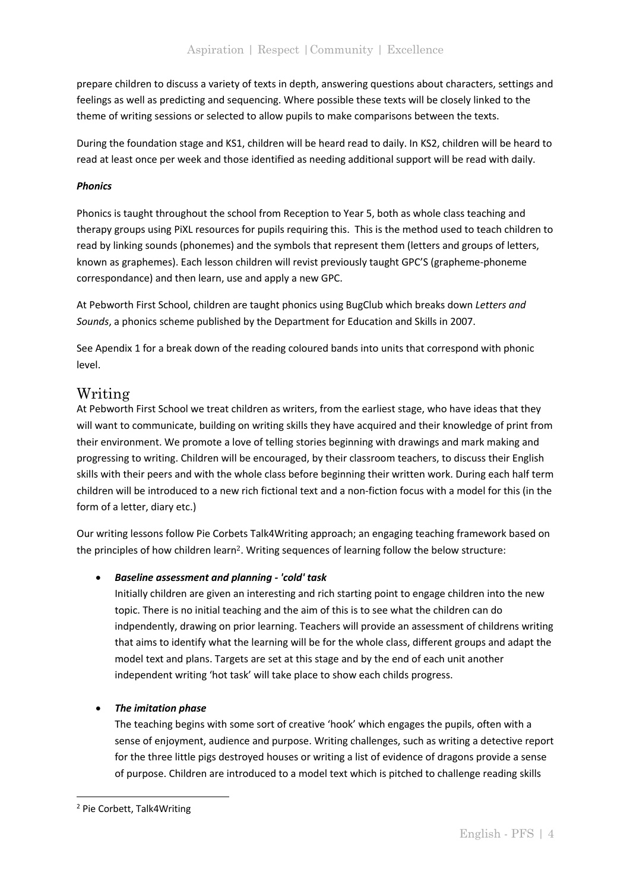prepare children to discuss a variety of texts in depth, answering questions about characters, settings and feelings as well as predicting and sequencing. Where possible these texts will be closely linked to the theme of writing sessions or selected to allow pupils to make comparisons between the texts.

During the foundation stage and KS1, children will be heard read to daily. In KS2, children will be heard to read at least once per week and those identified as needing additional support will be read with daily.

#### *Phonics*

Phonics is taught throughout the school from Reception to Year 5, both as whole class teaching and therapy groups using PiXL resources for pupils requiring this. This is the method used to teach children to read by linking sounds (phonemes) and the symbols that represent them (letters and groups of letters, known as graphemes). Each lesson children will revist previously taught GPC'S (grapheme-phoneme correspondance) and then learn, use and apply a new GPC.

At Pebworth First School, children are taught phonics using BugClub which breaks down *Letters and Sounds*, a phonics scheme published by the Department for Education and Skills in 2007.

See Apendix 1 for a break down of the reading coloured bands into units that correspond with phonic level.

## Writing

At Pebworth First School we treat children as writers, from the earliest stage, who have ideas that they will want to communicate, building on writing skills they have acquired and their knowledge of print from their environment. We promote a love of telling stories beginning with drawings and mark making and progressing to writing. Children will be encouraged, by their classroom teachers, to discuss their English skills with their peers and with the whole class before beginning their written work. During each half term children will be introduced to a new rich fictional text and a non-fiction focus with a model for this (in the form of a letter, diary etc.)

Our writing lessons follow Pie Corbets Talk4Writing approach; an engaging teaching framework based on the principles of how children learn2. Writing sequences of learning follow the below structure:

#### • *Baseline assessment and planning - 'cold' task*

Initially children are given an interesting and rich starting point to engage children into the new topic. There is no initial teaching and the aim of this is to see what the children can do indpendently, drawing on prior learning. Teachers will provide an assessment of childrens writing that aims to identify what the learning will be for the whole class, different groups and adapt the model text and plans. Targets are set at this stage and by the end of each unit another independent writing 'hot task' will take place to show each childs progress.

#### • *The imitation phase*

The teaching begins with some sort of creative 'hook' which engages the pupils, often with a sense of enjoyment, audience and purpose. Writing challenges, such as writing a detective report for the three little pigs destroyed houses or writing a list of evidence of dragons provide a sense of purpose. Children are introduced to a model text which is pitched to challenge reading skills

<sup>2</sup> Pie Corbett, Talk4Writing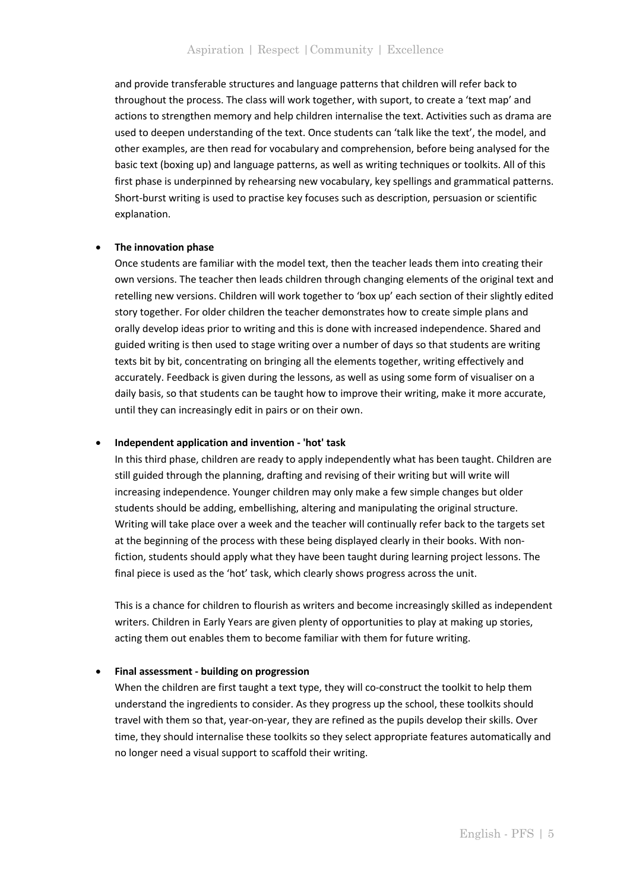and provide transferable structures and language patterns that children will refer back to throughout the process. The class will work together, with suport, to create a 'text map' and actions to strengthen memory and help children internalise the text. Activities such as drama are used to deepen understanding of the text. Once students can 'talk like the text', the model, and other examples, are then read for vocabulary and comprehension, before being analysed for the basic text (boxing up) and language patterns, as well as writing techniques or toolkits. All of this first phase is underpinned by rehearsing new vocabulary, key spellings and grammatical patterns. Short-burst writing is used to practise key focuses such as description, persuasion or scientific explanation.

#### • **The innovation phase**

Once students are familiar with the model text, then the teacher leads them into creating their own versions. The teacher then leads children through changing elements of the original text and retelling new versions. Children will work together to 'box up' each section of their slightly edited story together. For older children the teacher demonstrates how to create simple plans and orally develop ideas prior to writing and this is done with increased independence. Shared and guided writing is then used to stage writing over a number of days so that students are writing texts bit by bit, concentrating on bringing all the elements together, writing effectively and accurately. Feedback is given during the lessons, as well as using some form of visualiser on a daily basis, so that students can be taught how to improve their writing, make it more accurate, until they can increasingly edit in pairs or on their own.

#### • **Independent application and invention - 'hot' task**

In this third phase, children are ready to apply independently what has been taught. Children are still guided through the planning, drafting and revising of their writing but will write will increasing independence. Younger children may only make a few simple changes but older students should be adding, embellishing, altering and manipulating the original structure. Writing will take place over a week and the teacher will continually refer back to the targets set at the beginning of the process with these being displayed clearly in their books. With nonfiction, students should apply what they have been taught during learning project lessons. The final piece is used as the 'hot' task, which clearly shows progress across the unit.

This is a chance for children to flourish as writers and become increasingly skilled as independent writers. Children in Early Years are given plenty of opportunities to play at making up stories, acting them out enables them to become familiar with them for future writing.

#### • **Final assessment - building on progression**

When the children are first taught a text type, they will co-construct the toolkit to help them understand the ingredients to consider. As they progress up the school, these toolkits should travel with them so that, year-on-year, they are refined as the pupils develop their skills. Over time, they should internalise these toolkits so they select appropriate features automatically and no longer need a visual support to scaffold their writing.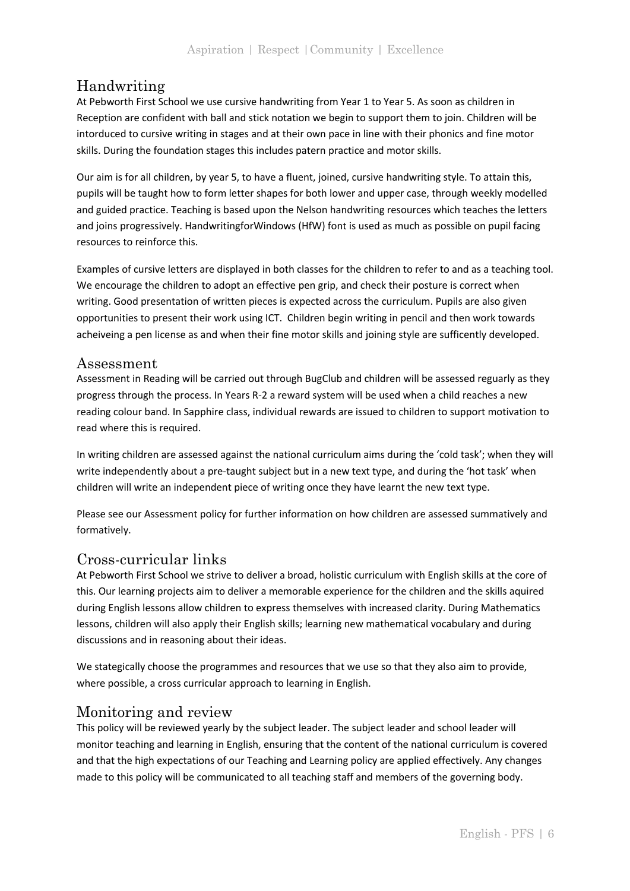# Handwriting

At Pebworth First School we use cursive handwriting from Year 1 to Year 5. As soon as children in Reception are confident with ball and stick notation we begin to support them to join. Children will be intorduced to cursive writing in stages and at their own pace in line with their phonics and fine motor skills. During the foundation stages this includes patern practice and motor skills.

Our aim is for all children, by year 5, to have a fluent, joined, cursive handwriting style. To attain this, pupils will be taught how to form letter shapes for both lower and upper case, through weekly modelled and guided practice. Teaching is based upon the Nelson handwriting resources which teaches the letters and joins progressively. HandwritingforWindows (HfW) font is used as much as possible on pupil facing resources to reinforce this.

Examples of cursive letters are displayed in both classes for the children to refer to and as a teaching tool. We encourage the children to adopt an effective pen grip, and check their posture is correct when writing. Good presentation of written pieces is expected across the curriculum. Pupils are also given opportunities to present their work using ICT. Children begin writing in pencil and then work towards acheiveing a pen license as and when their fine motor skills and joining style are sufficently developed.

## Assessment

Assessment in Reading will be carried out through BugClub and children will be assessed reguarly as they progress through the process. In Years R-2 a reward system will be used when a child reaches a new reading colour band. In Sapphire class, individual rewards are issued to children to support motivation to read where this is required.

In writing children are assessed against the national curriculum aims during the 'cold task'; when they will write independently about a pre-taught subject but in a new text type, and during the 'hot task' when children will write an independent piece of writing once they have learnt the new text type.

Please see our Assessment policy for further information on how children are assessed summatively and formatively.

# Cross-curricular links

At Pebworth First School we strive to deliver a broad, holistic curriculum with English skills at the core of this. Our learning projects aim to deliver a memorable experience for the children and the skills aquired during English lessons allow children to express themselves with increased clarity. During Mathematics lessons, children will also apply their English skills; learning new mathematical vocabulary and during discussions and in reasoning about their ideas.

We stategically choose the programmes and resources that we use so that they also aim to provide, where possible, a cross curricular approach to learning in English.

# Monitoring and review

This policy will be reviewed yearly by the subject leader. The subject leader and school leader will monitor teaching and learning in English, ensuring that the content of the national curriculum is covered and that the high expectations of our Teaching and Learning policy are applied effectively. Any changes made to this policy will be communicated to all teaching staff and members of the governing body.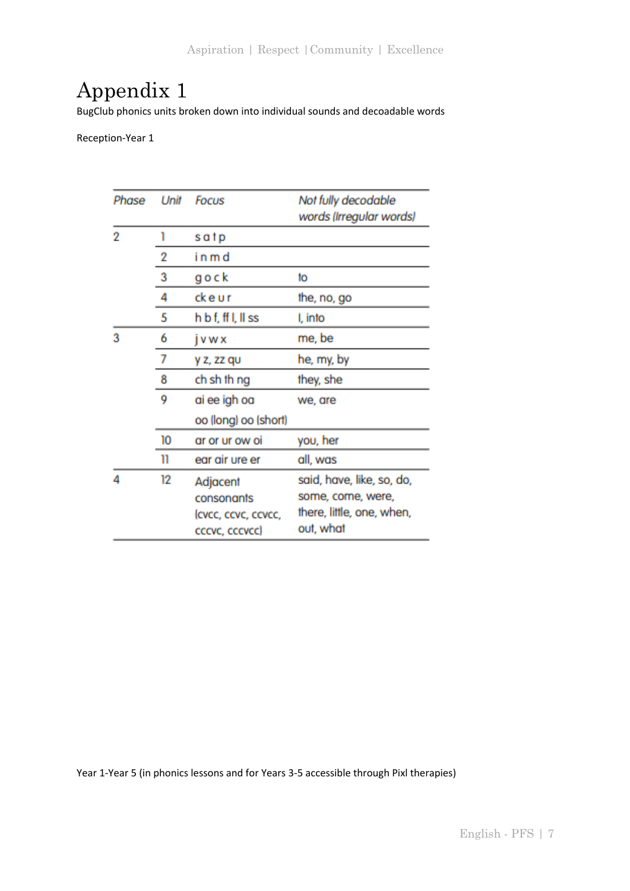# Appendix 1

BugClub phonics units broken down into individual sounds and decoadable words

Reception-Year 1

| Phase | Unit | Focus                                         | Not fully decodable<br>words (Irregular words)                              |
|-------|------|-----------------------------------------------|-----------------------------------------------------------------------------|
| 2     | 1    | satp                                          |                                                                             |
|       | 2    | in m d                                        |                                                                             |
|       | 3    | gock                                          | to                                                                          |
|       | 4    | ckeur                                         | the, no, go                                                                 |
|       | 5    | h b f, ff I, II ss                            | I, into                                                                     |
| 3     | 6    | jvwx                                          | me, be                                                                      |
|       | 7    | y z, zz qu                                    | he, my, by                                                                  |
|       | 8    | ch sh th ng                                   | they, she                                                                   |
|       | 9    | ai ee igh oa                                  | we, are                                                                     |
|       |      | oo (long) oo (short)                          |                                                                             |
|       | 10   | ar or ur ow oi                                | you, her                                                                    |
|       | 11   | ear air ure er                                | all, was                                                                    |
| 4     | 12   | Adjacent<br>consonants<br>(cvcc, ccvc, ccvcc, | said, have, like, so, do,<br>some, come, were,<br>there, little, one, when, |
|       |      | cccvc, cccvcc)                                | out, what                                                                   |

Year 1-Year 5 (in phonics lessons and for Years 3-5 accessible through Pixl therapies)